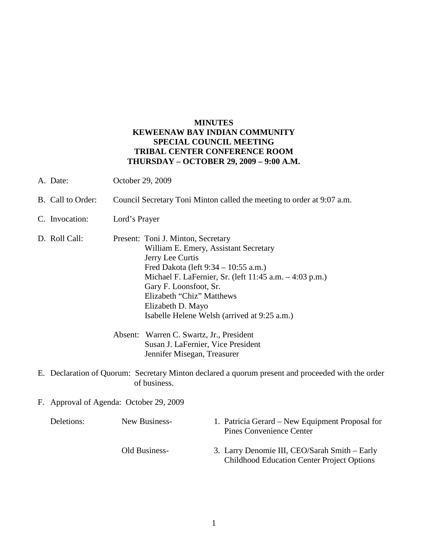## **MINUTES KEWEENAW BAY INDIAN COMMUNITY SPECIAL COUNCIL MEETING TRIBAL CENTER CONFERENCE ROOM THURSDAY – OCTOBER 29, 2009 – 9:00 A.M.**

- A. Date: October 29, 2009
- B. Call to Order: Council Secretary Toni Minton called the meeting to order at 9:07 a.m.
- C. Invocation: Lord's Prayer
- D. Roll Call: Present: Toni J. Minton, Secretary William E. Emery, Assistant Secretary Jerry Lee Curtis Fred Dakota (left 9:34 – 10:55 a.m.) Michael F. LaFernier, Sr. (left 11:45 a.m. – 4:03 p.m.) Gary F. Loonsfoot, Sr. Elizabeth "Chiz" Matthews Elizabeth D. Mayo Isabelle Helene Welsh (arrived at 9:25 a.m.)
	- Absent: Warren C. Swartz, Jr., President Susan J. LaFernier, Vice President Jennifer Misegan, Treasurer
- E. Declaration of Quorum: Secretary Minton declared a quorum present and proceeded with the order of business.
- F. Approval of Agenda: October 29, 2009

| Deletions: | New Business- | 1. Patricia Gerard – New Equipment Proposal for<br><b>Pines Convenience Center</b>                 |
|------------|---------------|----------------------------------------------------------------------------------------------------|
|            | Old Business- | 3. Larry Denomie III, CEO/Sarah Smith – Early<br><b>Childhood Education Center Project Options</b> |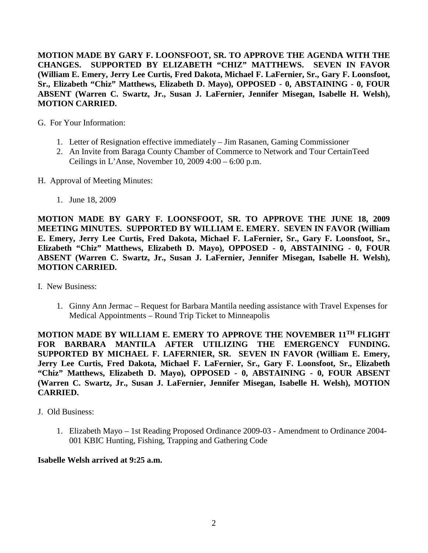**MOTION MADE BY GARY F. LOONSFOOT, SR. TO APPROVE THE AGENDA WITH THE CHANGES. SUPPORTED BY ELIZABETH "CHIZ" MATTHEWS. SEVEN IN FAVOR (William E. Emery, Jerry Lee Curtis, Fred Dakota, Michael F. LaFernier, Sr., Gary F. Loonsfoot, Sr., Elizabeth "Chiz" Matthews, Elizabeth D. Mayo), OPPOSED - 0, ABSTAINING - 0, FOUR ABSENT (Warren C. Swartz, Jr., Susan J. LaFernier, Jennifer Misegan, Isabelle H. Welsh), MOTION CARRIED.**

G. For Your Information:

- 1. Letter of Resignation effective immediately Jim Rasanen, Gaming Commissioner
- 2. An Invite from Baraga County Chamber of Commerce to Network and Tour CertainTeed Ceilings in L'Anse, November 10, 2009 4:00 – 6:00 p.m.
- H. Approval of Meeting Minutes:
	- 1. June 18, 2009

**MOTION MADE BY GARY F. LOONSFOOT, SR. TO APPROVE THE JUNE 18, 2009 MEETING MINUTES. SUPPORTED BY WILLIAM E. EMERY. SEVEN IN FAVOR (William E. Emery, Jerry Lee Curtis, Fred Dakota, Michael F. LaFernier, Sr., Gary F. Loonsfoot, Sr., Elizabeth "Chiz" Matthews, Elizabeth D. Mayo), OPPOSED - 0, ABSTAINING - 0, FOUR ABSENT (Warren C. Swartz, Jr., Susan J. LaFernier, Jennifer Misegan, Isabelle H. Welsh), MOTION CARRIED.**

- I. New Business:
	- 1. Ginny Ann Jermac Request for Barbara Mantila needing assistance with Travel Expenses for Medical Appointments – Round Trip Ticket to Minneapolis

**MOTION MADE BY WILLIAM E. EMERY TO APPROVE THE NOVEMBER 11TH FLIGHT FOR BARBARA MANTILA AFTER UTILIZING THE EMERGENCY FUNDING. SUPPORTED BY MICHAEL F. LAFERNIER, SR. SEVEN IN FAVOR (William E. Emery, Jerry Lee Curtis, Fred Dakota, Michael F. LaFernier, Sr., Gary F. Loonsfoot, Sr., Elizabeth "Chiz" Matthews, Elizabeth D. Mayo), OPPOSED - 0, ABSTAINING - 0, FOUR ABSENT (Warren C. Swartz, Jr., Susan J. LaFernier, Jennifer Misegan, Isabelle H. Welsh), MOTION CARRIED.**

J. Old Business:

1. Elizabeth Mayo – 1st Reading Proposed Ordinance 2009-03 - Amendment to Ordinance 2004- 001 KBIC Hunting, Fishing, Trapping and Gathering Code

#### **Isabelle Welsh arrived at 9:25 a.m.**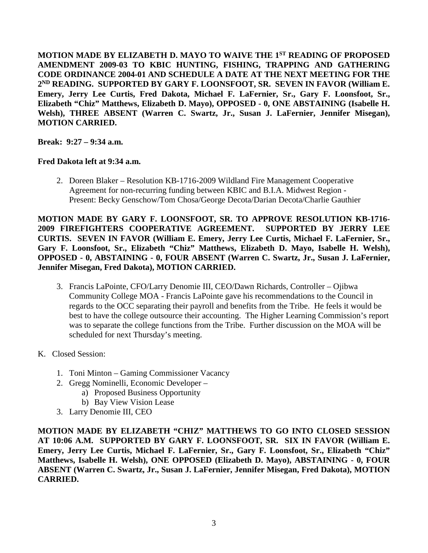**MOTION MADE BY ELIZABETH D. MAYO TO WAIVE THE 1ST READING OF PROPOSED AMENDMENT 2009-03 TO KBIC HUNTING, FISHING, TRAPPING AND GATHERING CODE ORDINANCE 2004-01 AND SCHEDULE A DATE AT THE NEXT MEETING FOR THE 2ND READING. SUPPORTED BY GARY F. LOONSFOOT, SR. SEVEN IN FAVOR (William E. Emery, Jerry Lee Curtis, Fred Dakota, Michael F. LaFernier, Sr., Gary F. Loonsfoot, Sr., Elizabeth "Chiz" Matthews, Elizabeth D. Mayo), OPPOSED - 0, ONE ABSTAINING (Isabelle H. Welsh), THREE ABSENT (Warren C. Swartz, Jr., Susan J. LaFernier, Jennifer Misegan), MOTION CARRIED.**

**Break: 9:27 – 9:34 a.m.**

#### **Fred Dakota left at 9:34 a.m.**

2. Doreen Blaker – Resolution KB-1716-2009 Wildland Fire Management Cooperative Agreement for non-recurring funding between KBIC and B.I.A. Midwest Region - Present: Becky Genschow/Tom Chosa/George Decota/Darian Decota/Charlie Gauthier

**MOTION MADE BY GARY F. LOONSFOOT, SR. TO APPROVE RESOLUTION KB-1716- 2009 FIREFIGHTERS COOPERATIVE AGREEMENT. SUPPORTED BY JERRY LEE CURTIS. SEVEN IN FAVOR (William E. Emery, Jerry Lee Curtis, Michael F. LaFernier, Sr., Gary F. Loonsfoot, Sr., Elizabeth "Chiz" Matthews, Elizabeth D. Mayo, Isabelle H. Welsh), OPPOSED - 0, ABSTAINING - 0, FOUR ABSENT (Warren C. Swartz, Jr., Susan J. LaFernier, Jennifer Misegan, Fred Dakota), MOTION CARRIED.**

- 3. Francis LaPointe, CFO/Larry Denomie III, CEO/Dawn Richards, Controller Ojibwa Community College MOA - Francis LaPointe gave his recommendations to the Council in regards to the OCC separating their payroll and benefits from the Tribe. He feels it would be best to have the college outsource their accounting. The Higher Learning Commission's report was to separate the college functions from the Tribe. Further discussion on the MOA will be scheduled for next Thursday's meeting.
- K. Closed Session:
	- 1. Toni Minton Gaming Commissioner Vacancy
	- 2. Gregg Nominelli, Economic Developer
		- a) Proposed Business Opportunity
		- b) Bay View Vision Lease
	- 3. Larry Denomie III, CEO

**MOTION MADE BY ELIZABETH "CHIZ" MATTHEWS TO GO INTO CLOSED SESSION AT 10:06 A.M. SUPPORTED BY GARY F. LOONSFOOT, SR. SIX IN FAVOR (William E. Emery, Jerry Lee Curtis, Michael F. LaFernier, Sr., Gary F. Loonsfoot, Sr., Elizabeth "Chiz" Matthews, Isabelle H. Welsh), ONE OPPOSED (Elizabeth D. Mayo), ABSTAINING - 0, FOUR ABSENT (Warren C. Swartz, Jr., Susan J. LaFernier, Jennifer Misegan, Fred Dakota), MOTION CARRIED.**